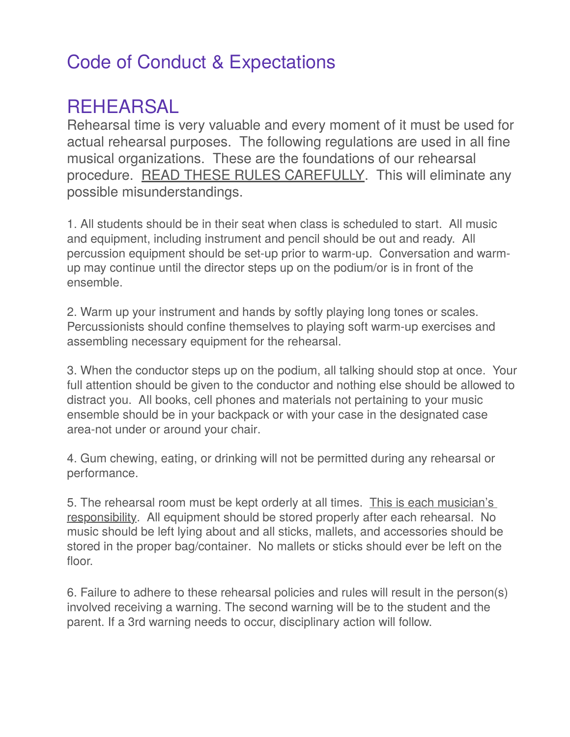## Code of Conduct & Expectations

### REHEARSAL

Rehearsal time is very valuable and every moment of it must be used for actual rehearsal purposes. The following regulations are used in all fine musical organizations. These are the foundations of our rehearsal procedure. READ THESE RULES CAREFULLY. This will eliminate any possible misunderstandings.

1. All students should be in their seat when class is scheduled to start. All music and equipment, including instrument and pencil should be out and ready. All percussion equipment should be set-up prior to warm-up. Conversation and warmup may continue until the director steps up on the podium/or is in front of the ensemble.

2. Warm up your instrument and hands by softly playing long tones or scales. Percussionists should confine themselves to playing soft warm-up exercises and assembling necessary equipment for the rehearsal.

3. When the conductor steps up on the podium, all talking should stop at once. Your full attention should be given to the conductor and nothing else should be allowed to distract you. All books, cell phones and materials not pertaining to your music ensemble should be in your backpack or with your case in the designated case area-not under or around your chair.

4. Gum chewing, eating, or drinking will not be permitted during any rehearsal or performance.

5. The rehearsal room must be kept orderly at all times. This is each musician's responsibility. All equipment should be stored properly after each rehearsal. No music should be left lying about and all sticks, mallets, and accessories should be stored in the proper bag/container. No mallets or sticks should ever be left on the floor.

6. Failure to adhere to these rehearsal policies and rules will result in the person(s) involved receiving a warning. The second warning will be to the student and the parent. If a 3rd warning needs to occur, disciplinary action will follow.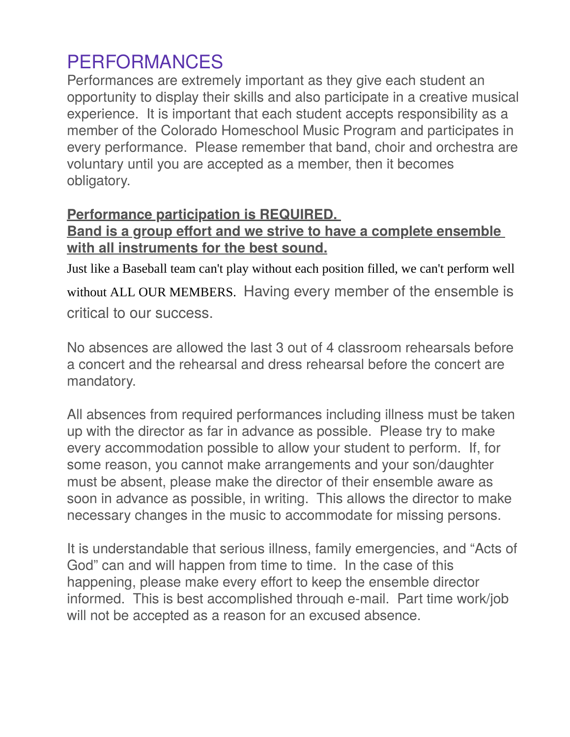## PERFORMANCES

Performances are extremely important as they give each student an opportunity to display their skills and also participate in a creative musical experience. It is important that each student accepts responsibility as a member of the Colorado Homeschool Music Program and participates in every performance. Please remember that band, choir and orchestra are voluntary until you are accepted as a member, then it becomes obligatory.

#### **Performance participation is REQUIRED.**

#### **Band is a group effort and we strive to have a complete ensemble with all instruments for the best sound.**

Just like a Baseball team can't play without each position filled, we can't perform well without ALL OUR MEMBERS. Having every member of the ensemble is critical to our success.

No absences are allowed the last 3 out of 4 classroom rehearsals before a concert and the rehearsal and dress rehearsal before the concert are mandatory.

All absences from required performances including illness must be taken up with the director as far in advance as possible. Please try to make every accommodation possible to allow your student to perform. If, for some reason, you cannot make arrangements and your son/daughter must be absent, please make the director of their ensemble aware as soon in advance as possible, in writing. This allows the director to make necessary changes in the music to accommodate for missing persons.

It is understandable that serious illness, family emergencies, and "Acts of God" can and will happen from time to time. In the case of this happening, please make every effort to keep the ensemble director informed. This is best accomplished through e-mail. Part time work/job will not be accepted as a reason for an excused absence.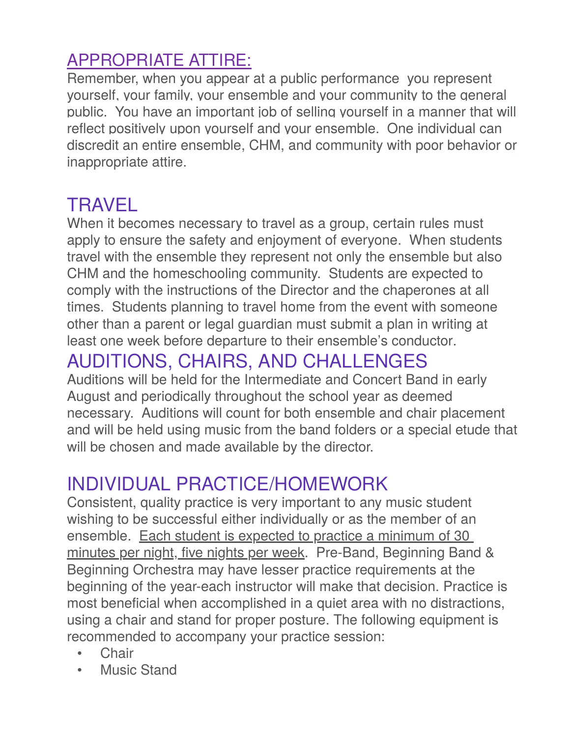## APPROPRIATE ATTIRE:

Remember, when you appear at a public performance you represent yourself, your family, your ensemble and your community to the general public. You have an important job of selling yourself in a manner that will reflect positively upon yourself and your ensemble. One individual can discredit an entire ensemble, CHM, and community with poor behavior or inappropriate attire.

## TRAVEL

When it becomes necessary to travel as a group, certain rules must apply to ensure the safety and enjoyment of everyone. When students travel with the ensemble they represent not only the ensemble but also CHM and the homeschooling community. Students are expected to comply with the instructions of the Director and the chaperones at all times. Students planning to travel home from the event with someone other than a parent or legal guardian must submit a plan in writing at least one week before departure to their ensemble's conductor.

# AUDITIONS, CHAIRS, AND CHALLENGES

Auditions will be held for the Intermediate and Concert Band in early August and periodically throughout the school year as deemed necessary. Auditions will count for both ensemble and chair placement and will be held using music from the band folders or a special etude that will be chosen and made available by the director.

# INDIVIDUAL PRACTICE/HOMEWORK

Consistent, quality practice is very important to any music student wishing to be successful either individually or as the member of an ensemble. Each student is expected to practice a minimum of 30 minutes per night, five nights per week. Pre-Band, Beginning Band & Beginning Orchestra may have lesser practice requirements at the beginning of the year-each instructor will make that decision. Practice is most beneficial when accomplished in a quiet area with no distractions, using a chair and stand for proper posture. The following equipment is recommended to accompany your practice session:

- Chair
- **Music Stand**